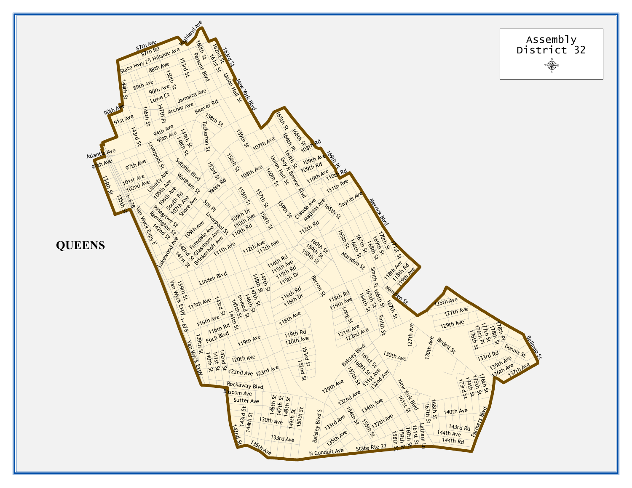